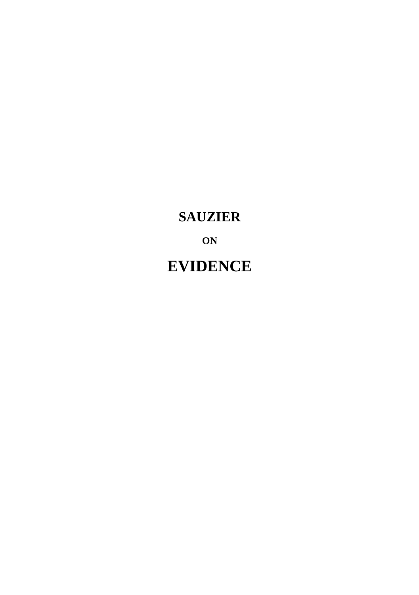# **SAUZIER ON EVIDENCE**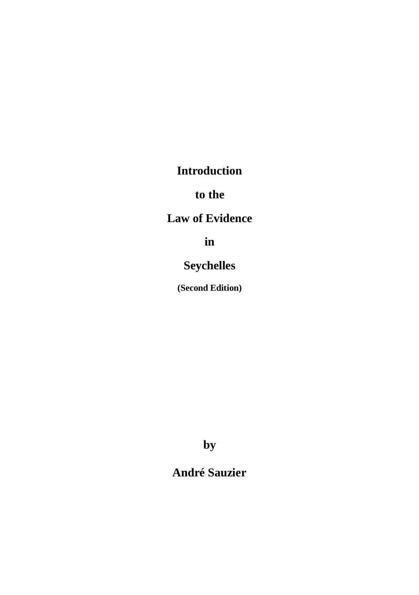### **Introduction**

**to the**

### **Law of Evidence**

**in**

# **Seychelles**

**(Second Edition)**

**by**

**André Sauzier**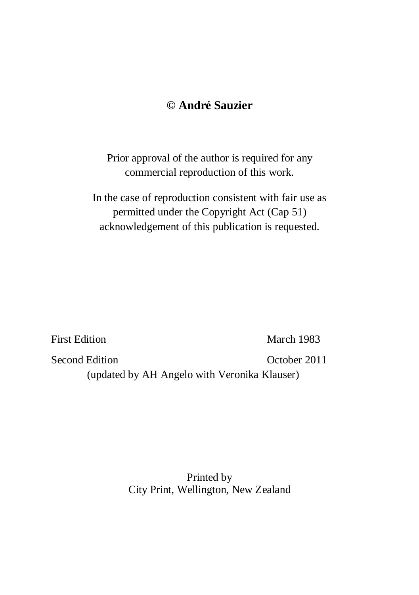### **© André Sauzier**

Prior approval of the author is required for any commercial reproduction of this work.

In the case of reproduction consistent with fair use as permitted under the Copyright Act (Cap 51) acknowledgement of this publication is requested.

First Edition March 1983

Second Edition **October 2011** (updated by AH Angelo with Veronika Klauser)

Printed by City Print, Wellington, New Zealand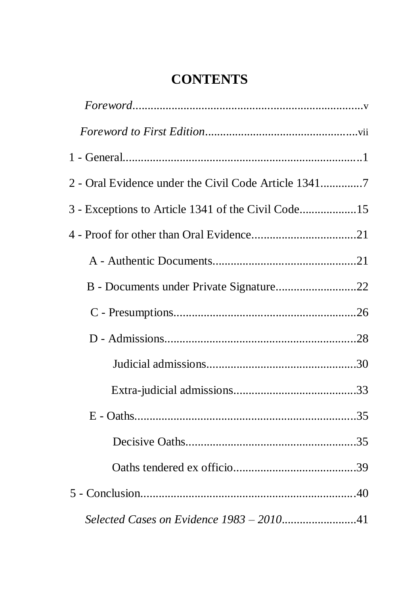# **CONTENTS**

| 2 - Oral Evidence under the Civil Code Article 13417 |  |
|------------------------------------------------------|--|
| 3 - Exceptions to Article 1341 of the Civil Code15   |  |
|                                                      |  |
|                                                      |  |
| B - Documents under Private Signature22              |  |
|                                                      |  |
|                                                      |  |
|                                                      |  |
|                                                      |  |
|                                                      |  |
|                                                      |  |
|                                                      |  |
|                                                      |  |
| Selected Cases on Evidence 1983 - 201041             |  |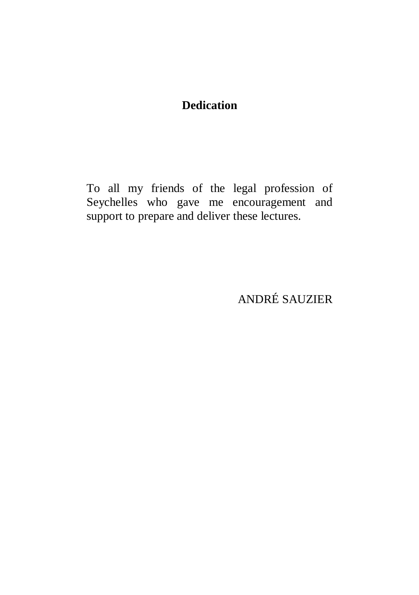### **Dedication**

To all my friends of the legal profession of Seychelles who gave me encouragement and support to prepare and deliver these lectures.

ANDRÉ SAUZIER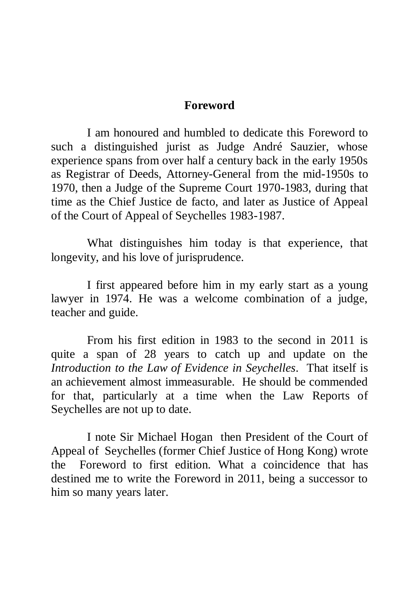#### **Foreword**

I am honoured and humbled to dedicate this Foreword to such a distinguished jurist as Judge André Sauzier, whose experience spans from over half a century back in the early 1950s as Registrar of Deeds, Attorney-General from the mid-1950s to 1970, then a Judge of the Supreme Court 1970-1983, during that time as the Chief Justice de facto, and later as Justice of Appeal of the Court of Appeal of Seychelles 1983-1987.

What distinguishes him today is that experience, that longevity, and his love of jurisprudence.

I first appeared before him in my early start as a young lawyer in 1974. He was a welcome combination of a judge, teacher and guide.

From his first edition in 1983 to the second in 2011 is quite a span of 28 years to catch up and update on the *Introduction to the Law of Evidence in Seychelles*. That itself is an achievement almost immeasurable. He should be commended for that, particularly at a time when the Law Reports of Seychelles are not up to date.

I note Sir Michael Hogan then President of the Court of Appeal of Seychelles (former Chief Justice of Hong Kong) wrote the Foreword to first edition. What a coincidence that has destined me to write the Foreword in 2011, being a successor to him so many years later.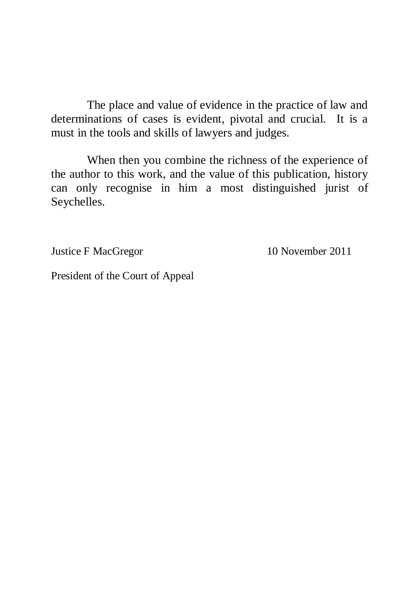The place and value of evidence in the practice of law and determinations of cases is evident, pivotal and crucial. It is a must in the tools and skills of lawyers and judges.

When then you combine the richness of the experience of the author to this work, and the value of this publication, history can only recognise in him a most distinguished jurist of Seychelles.

Justice F MacGregor 10 November 2011

President of the Court of Appeal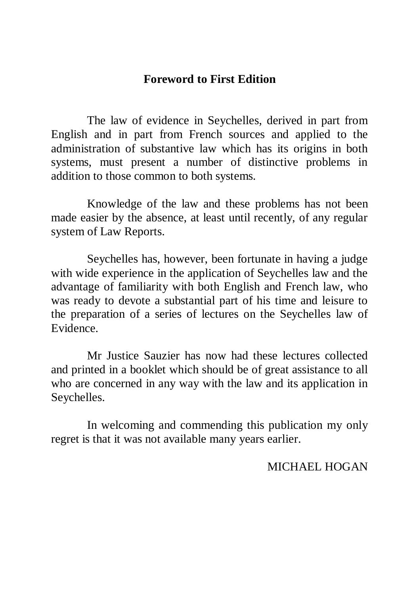#### **Foreword to First Edition**

The law of evidence in Seychelles, derived in part from English and in part from French sources and applied to the administration of substantive law which has its origins in both systems, must present a number of distinctive problems in addition to those common to both systems.

Knowledge of the law and these problems has not been made easier by the absence, at least until recently, of any regular system of Law Reports.

Seychelles has, however, been fortunate in having a judge with wide experience in the application of Seychelles law and the advantage of familiarity with both English and French law, who was ready to devote a substantial part of his time and leisure to the preparation of a series of lectures on the Seychelles law of Evidence.

Mr Justice Sauzier has now had these lectures collected and printed in a booklet which should be of great assistance to all who are concerned in any way with the law and its application in Seychelles.

In welcoming and commending this publication my only regret is that it was not available many years earlier.

### MICHAEL HOGAN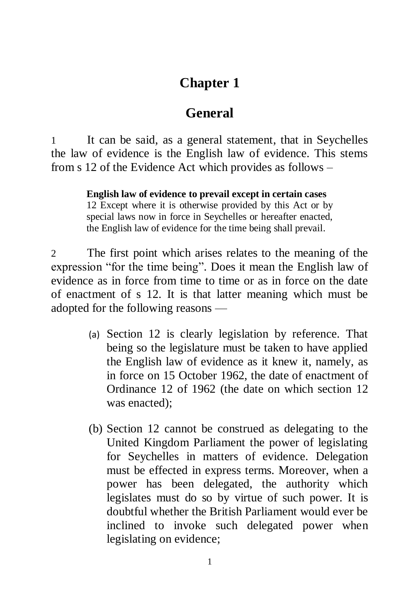# **Chapter 1**

# **General**

1 It can be said, as a general statement, that in Seychelles the law of evidence is the English law of evidence. This stems from s 12 of the Evidence Act which provides as follows –

**English law of evidence to prevail except in certain cases** 

12 Except where it is otherwise provided by this Act or by special laws now in force in Seychelles or hereafter enacted, the English law of evidence for the time being shall prevail.

2 The first point which arises relates to the meaning of the expression "for the time being". Does it mean the English law of evidence as in force from time to time or as in force on the date of enactment of s 12. It is that latter meaning which must be adopted for the following reasons —

- (a) Section 12 is clearly legislation by reference. That being so the legislature must be taken to have applied the English law of evidence as it knew it, namely, as in force on 15 October 1962, the date of enactment of Ordinance 12 of 1962 (the date on which section 12 was enacted);
- (b) Section 12 cannot be construed as delegating to the United Kingdom Parliament the power of legislating for Seychelles in matters of evidence. Delegation must be effected in express terms. Moreover, when a power has been delegated, the authority which legislates must do so by virtue of such power. It is doubtful whether the British Parliament would ever be inclined to invoke such delegated power when legislating on evidence;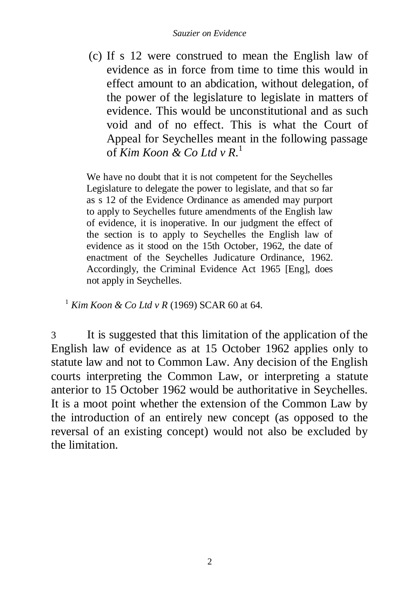(c) If s 12 were construed to mean the English law of evidence as in force from time to time this would in effect amount to an abdication, without delegation, of the power of the legislature to legislate in matters of evidence. This would be unconstitutional and as such void and of no effect. This is what the Court of Appeal for Seychelles meant in the following passage of *Kim Koon & Co Ltd v R.* 1

We have no doubt that it is not competent for the Seychelles Legislature to delegate the power to legislate, and that so far as s 12 of the Evidence Ordinance as amended may purport to apply to Seychelles future amendments of the English law of evidence, it is inoperative. In our judgment the effect of the section is to apply to Seychelles the English law of evidence as it stood on the 15th October, 1962, the date of enactment of the Seychelles Judicature Ordinance, 1962. Accordingly, the Criminal Evidence Act 1965 [Eng], does not apply in Seychelles.

<sup>1</sup> *Kim Koon & Co Ltd v R* (1969) SCAR 60 at 64.

3 It is suggested that this limitation of the application of the English law of evidence as at 15 October 1962 applies only to statute law and not to Common Law. Any decision of the English courts interpreting the Common Law, or interpreting a statute anterior to 15 October 1962 would be authoritative in Seychelles. It is a moot point whether the extension of the Common Law by the introduction of an entirely new concept (as opposed to the reversal of an existing concept) would not also be excluded by the limitation.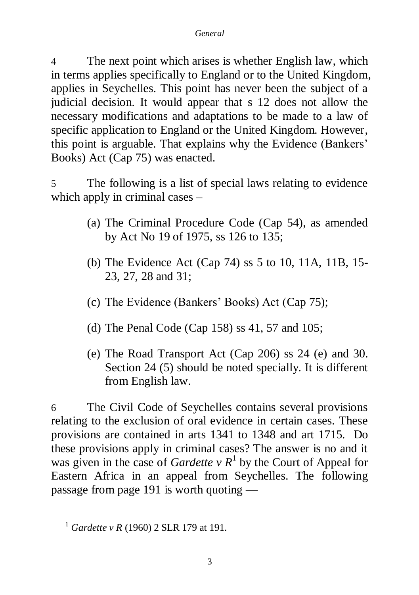4 The next point which arises is whether English law, which in terms applies specifically to England or to the United Kingdom, applies in Seychelles. This point has never been the subject of a judicial decision. It would appear that s 12 does not allow the necessary modifications and adaptations to be made to a law of specific application to England or the United Kingdom. However, this point is arguable. That explains why the Evidence (Bankers' Books) Act (Cap 75) was enacted.

5 The following is a list of special laws relating to evidence which apply in criminal cases –

- (a) The Criminal Procedure Code (Cap 54), as amended by Act No 19 of 1975, ss 126 to 135;
- (b) The Evidence Act (Cap 74) ss 5 to 10, 11A, 11B, 15- 23, 27, 28 and 31;
- (c) The Evidence (Bankers' Books) Act (Cap 75);
- (d) The Penal Code (Cap 158) ss 41, 57 and 105;
- (e) The Road Transport Act (Cap 206) ss 24 (e) and 30. Section 24 (5) should be noted specially. It is different from English law.

6 The Civil Code of Seychelles contains several provisions relating to the exclusion of oral evidence in certain cases. These provisions are contained in arts 1341 to 1348 and art 1715. Do these provisions apply in criminal cases? The answer is no and it was given in the case of *Gardette*  $v R<sup>1</sup>$  by the Court of Appeal for Eastern Africa in an appeal from Seychelles. The following passage from page 191 is worth quoting —

 $^{1}$  *Gardette v R* (1960) 2 SLR 179 at 191.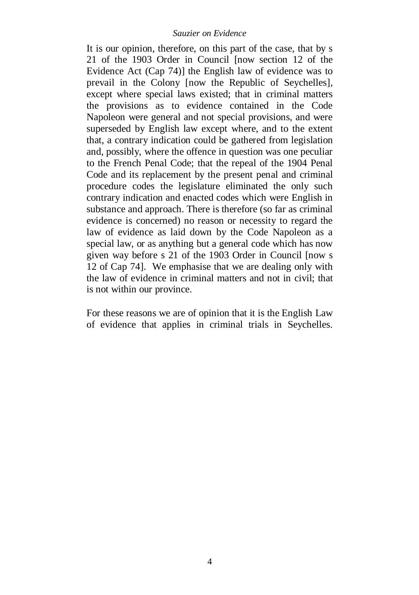#### *Sauzier on Evidence*

It is our opinion, therefore, on this part of the case, that by s 21 of the 1903 Order in Council [now section 12 of the Evidence Act (Cap 74)] the English law of evidence was to prevail in the Colony [now the Republic of Seychelles], except where special laws existed; that in criminal matters the provisions as to evidence contained in the Code Napoleon were general and not special provisions, and were superseded by English law except where, and to the extent that, a contrary indication could be gathered from legislation and, possibly, where the offence in question was one peculiar to the French Penal Code; that the repeal of the 1904 Penal Code and its replacement by the present penal and criminal procedure codes the legislature eliminated the only such contrary indication and enacted codes which were English in substance and approach. There is therefore (so far as criminal evidence is concerned) no reason or necessity to regard the law of evidence as laid down by the Code Napoleon as a special law, or as anything but a general code which has now given way before s 21 of the 1903 Order in Council [now s 12 of Cap 74]. We emphasise that we are dealing only with the law of evidence in criminal matters and not in civil; that is not within our province.

For these reasons we are of opinion that it is the English Law of evidence that applies in criminal trials in Seychelles.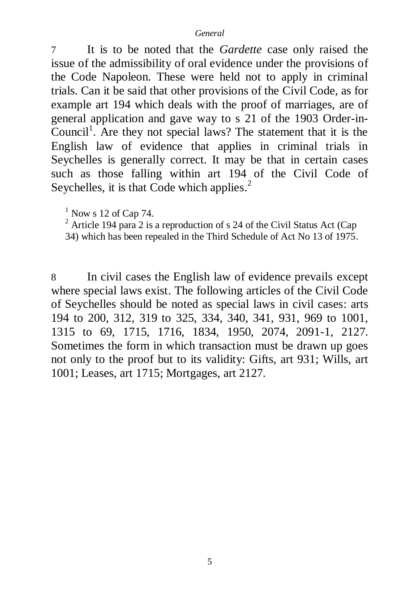#### *General*

7 It is to be noted that the *Gardette* case only raised the issue of the admissibility of oral evidence under the provisions of the Code Napoleon. These were held not to apply in criminal trials. Can it be said that other provisions of the Civil Code, as for example art 194 which deals with the proof of marriages, are of general application and gave way to s 21 of the 1903 Order-in-Council<sup>1</sup>. Are they not special laws? The statement that it is the English law of evidence that applies in criminal trials in Seychelles is generally correct. It may be that in certain cases such as those falling within art 194 of the Civil Code of Seychelles, it is that Code which applies.<sup>2</sup>

 $<sup>1</sup>$  Now s 12 of Cap 74.</sup>

<sup>2</sup> Article 194 para 2 is a reproduction of s 24 of the Civil Status Act (Cap 34) which has been repealed in the Third Schedule of Act No 13 of 1975.

8 In civil cases the English law of evidence prevails except where special laws exist. The following articles of the Civil Code of Seychelles should be noted as special laws in civil cases: arts 194 to 200, 312, 319 to 325, 334, 340, 341, 931, 969 to 1001, 1315 to 69, 1715, 1716, 1834, 1950, 2074, 2091-1, 2127. Sometimes the form in which transaction must be drawn up goes not only to the proof but to its validity: Gifts, art 931; Wills, art 1001; Leases, art 1715; Mortgages, art 2127.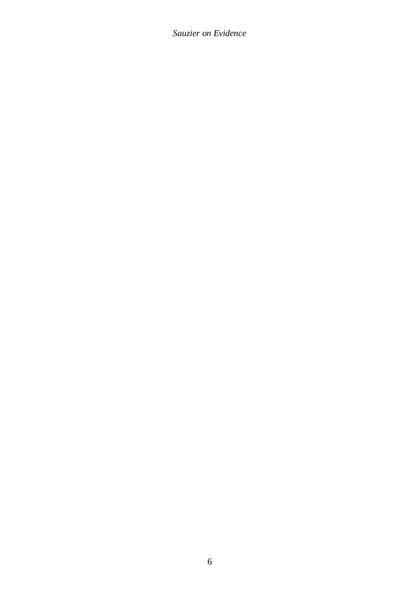*Sauzier on Evidence*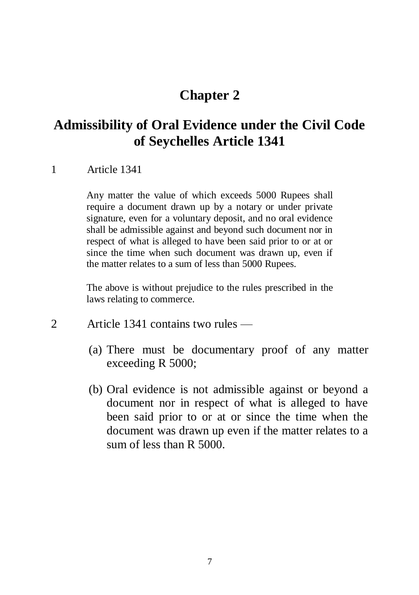# **Chapter 2**

# **Admissibility of Oral Evidence under the Civil Code of Seychelles Article 1341**

#### 1 Article 1341

Any matter the value of which exceeds 5000 Rupees shall require a document drawn up by a notary or under private signature, even for a voluntary deposit, and no oral evidence shall be admissible against and beyond such document nor in respect of what is alleged to have been said prior to or at or since the time when such document was drawn up, even if the matter relates to a sum of less than 5000 Rupees.

The above is without prejudice to the rules prescribed in the laws relating to commerce.

- 2 Article 1341 contains two rules
	- (a) There must be documentary proof of any matter exceeding R 5000;
	- (b) Oral evidence is not admissible against or beyond a document nor in respect of what is alleged to have been said prior to or at or since the time when the document was drawn up even if the matter relates to a sum of less than R 5000.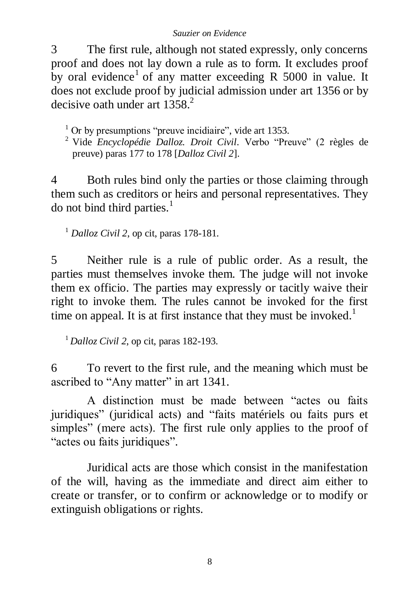#### *Sauzier on Evidence*

3 The first rule, although not stated expressly, only concerns proof and does not lay down a rule as to form. It excludes proof by oral evidence<sup>1</sup> of any matter exceeding R 5000 in value. It does not exclude proof by judicial admission under art 1356 or by decisive oath under art 1358.<sup>2</sup>

 $<sup>1</sup>$  Or by presumptions "preuve incidiaire", vide art 1353.</sup>

<sup>2</sup> Vide *Encyclopédie Dalloz. Droit Civil*. Verbo "Preuve" (2 règles de preuve) paras 177 to 178 [*Dalloz Civil 2*].

4 Both rules bind only the parties or those claiming through them such as creditors or heirs and personal representatives. They do not bind third parties. 1

<sup>1</sup> *Dalloz Civil 2*, op cit, paras 178-181.

5 Neither rule is a rule of public order. As a result, the parties must themselves invoke them. The judge will not invoke them ex officio. The parties may expressly or tacitly waive their right to invoke them. The rules cannot be invoked for the first time on appeal. It is at first instance that they must be invoked.<sup>1</sup>

<sup>1</sup> *Dalloz Civil 2*, op cit, paras 182-193.

6 To revert to the first rule, and the meaning which must be ascribed to "Any matter" in art 1341.

A distinction must be made between "actes ou faits" juridiques" (juridical acts) and "faits matériels ou faits purs et simples" (mere acts). The first rule only applies to the proof of "actes ou faits juridiques".

Juridical acts are those which consist in the manifestation of the will, having as the immediate and direct aim either to create or transfer, or to confirm or acknowledge or to modify or extinguish obligations or rights.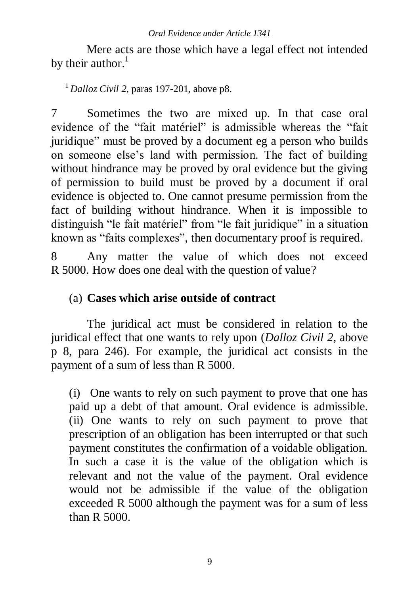#### *Oral Evidence under Article 1341*

Mere acts are those which have a legal effect not intended by their author.<sup>1</sup>

<sup>1</sup> *Dalloz Civil 2*, paras 197-201, above p8.

7 Sometimes the two are mixed up. In that case oral evidence of the "fait matériel" is admissible whereas the "fait juridique" must be proved by a document eg a person who builds on someone else's land with permission. The fact of building without hindrance may be proved by oral evidence but the giving of permission to build must be proved by a document if oral evidence is objected to. One cannot presume permission from the fact of building without hindrance. When it is impossible to distinguish "le fait matériel" from "le fait juridique" in a situation known as "faits complexes", then documentary proof is required.

8 Any matter the value of which does not exceed R 5000. How does one deal with the question of value?

#### (a) **Cases which arise outside of contract**

The juridical act must be considered in relation to the juridical effect that one wants to rely upon (*Dalloz Civil 2*, above p 8, para 246). For example, the juridical act consists in the payment of a sum of less than R 5000.

(i) One wants to rely on such payment to prove that one has paid up a debt of that amount. Oral evidence is admissible. (ii) One wants to rely on such payment to prove that prescription of an obligation has been interrupted or that such payment constitutes the confirmation of a voidable obligation. In such a case it is the value of the obligation which is relevant and not the value of the payment. Oral evidence would not be admissible if the value of the obligation exceeded R 5000 although the payment was for a sum of less than R 5000.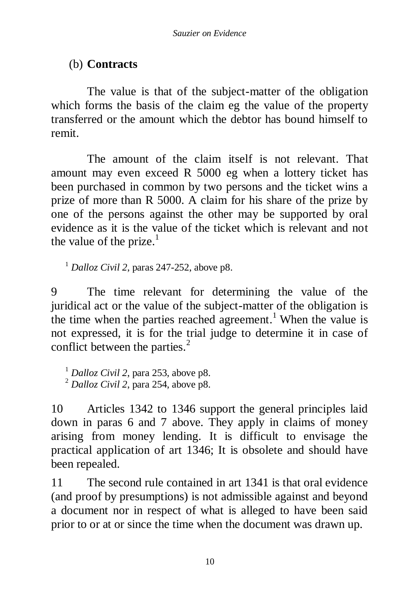### (b) **Contracts**

The value is that of the subject-matter of the obligation which forms the basis of the claim eg the value of the property transferred or the amount which the debtor has bound himself to remit.

The amount of the claim itself is not relevant. That amount may even exceed R 5000 eg when a lottery ticket has been purchased in common by two persons and the ticket wins a prize of more than R 5000. A claim for his share of the prize by one of the persons against the other may be supported by oral evidence as it is the value of the ticket which is relevant and not the value of the prize.<sup>1</sup>

<sup>1</sup> *Dalloz Civil 2*, paras 247-252, above p8.

9 The time relevant for determining the value of the juridical act or the value of the subject-matter of the obligation is the time when the parties reached agreement. <sup>1</sup> When the value is not expressed, it is for the trial judge to determine it in case of conflict between the parties.<sup>2</sup>

 $<sup>1</sup>$  *Dalloz Civil 2*, para 253, above p8.</sup> <sup>2</sup> *Dalloz Civil 2*, para 254, above p8.

10 Articles 1342 to 1346 support the general principles laid down in paras 6 and 7 above. They apply in claims of money arising from money lending. It is difficult to envisage the practical application of art 1346; It is obsolete and should have been repealed.

11 The second rule contained in art 1341 is that oral evidence (and proof by presumptions) is not admissible against and beyond a document nor in respect of what is alleged to have been said prior to or at or since the time when the document was drawn up.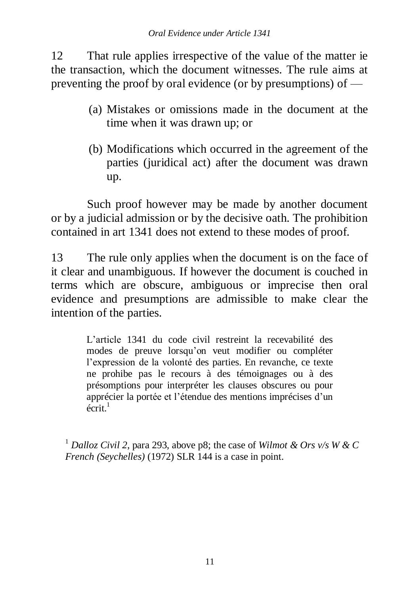12 That rule applies irrespective of the value of the matter ie the transaction, which the document witnesses. The rule aims at preventing the proof by oral evidence (or by presumptions) of —

- (a) Mistakes or omissions made in the document at the time when it was drawn up; or
- (b) Modifications which occurred in the agreement of the parties (juridical act) after the document was drawn up.

Such proof however may be made by another document or by a judicial admission or by the decisive oath. The prohibition contained in art 1341 does not extend to these modes of proof.

13 The rule only applies when the document is on the face of it clear and unambiguous. If however the document is couched in terms which are obscure, ambiguous or imprecise then oral evidence and presumptions are admissible to make clear the intention of the parties.

> L'article 1341 du code civil restreint la recevabilité des modes de preuve lorsqu'on veut modifier ou compléter l'expression de la volonté des parties. En revanche, ce texte ne prohibe pas le recours à des témoignages ou à des présomptions pour interpréter les clauses obscures ou pour apprécier la portée et l'étendue des mentions imprécises d'un écrit. 1

<sup>1</sup> *Dalloz Civil 2*, para 293, above p8; the case of *Wilmot & Ors v/s W & C French (Seychelles)* (1972) SLR 144 is a case in point.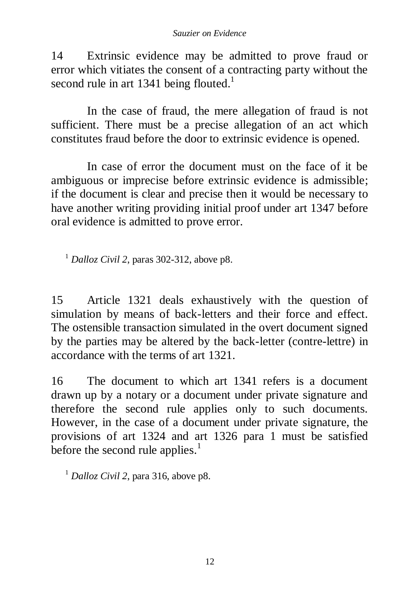14 Extrinsic evidence may be admitted to prove fraud or error which vitiates the consent of a contracting party without the second rule in art 1341 being flouted.<sup>1</sup>

In the case of fraud, the mere allegation of fraud is not sufficient. There must be a precise allegation of an act which constitutes fraud before the door to extrinsic evidence is opened.

In case of error the document must on the face of it be ambiguous or imprecise before extrinsic evidence is admissible; if the document is clear and precise then it would be necessary to have another writing providing initial proof under art 1347 before oral evidence is admitted to prove error.

<sup>1</sup> *Dalloz Civil 2*, paras 302-312, above p8.

15 Article 1321 deals exhaustively with the question of simulation by means of back-letters and their force and effect. The ostensible transaction simulated in the overt document signed by the parties may be altered by the back-letter (contre-lettre) in accordance with the terms of art 1321.

16 The document to which art 1341 refers is a document drawn up by a notary or a document under private signature and therefore the second rule applies only to such documents. However, in the case of a document under private signature, the provisions of art 1324 and art 1326 para 1 must be satisfied before the second rule applies. $<sup>1</sup>$ </sup>

 $<sup>1</sup>$  *Dalloz Civil 2*, para 316, above p8.</sup>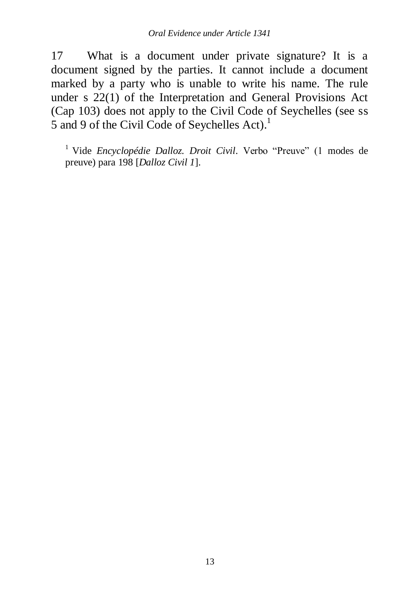17 What is a document under private signature? It is a document signed by the parties. It cannot include a document marked by a party who is unable to write his name. The rule under s 22(1) of the Interpretation and General Provisions Act (Cap 103) does not apply to the Civil Code of Seychelles (see ss 5 and 9 of the Civil Code of Seychelles Act).<sup>1</sup>

<sup>1</sup> Vide *Encyclopédie Dalloz. Droit Civil*. Verbo "Preuve" (1 modes de preuve) para 198 [*Dalloz Civil 1*].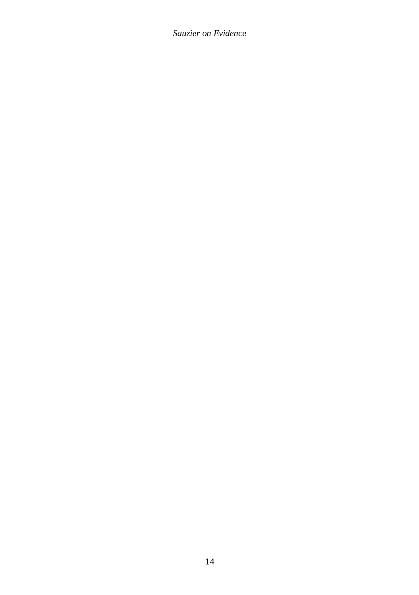*Sauzier on Evidence*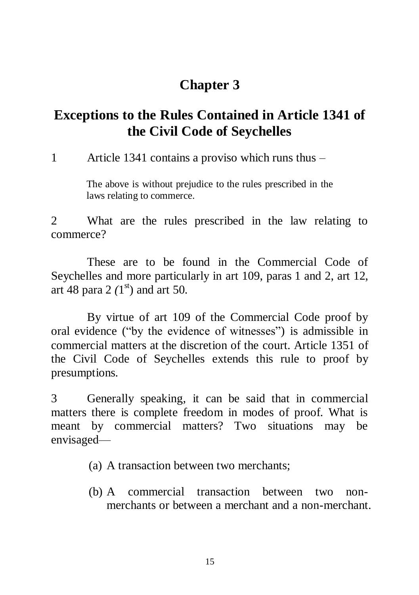# **Chapter 3**

# **Exceptions to the Rules Contained in Article 1341 of the Civil Code of Seychelles**

1 Article 1341 contains a proviso which runs thus –

The above is without prejudice to the rules prescribed in the laws relating to commerce.

2 What are the rules prescribed in the law relating to commerce?

These are to be found in the Commercial Code of Seychelles and more particularly in art 109, paras 1 and 2, art 12, art 48 para  $2(1<sup>st</sup>)$  and art 50.

By virtue of art 109 of the Commercial Code proof by oral evidence ("by the evidence of witnesses") is admissible in commercial matters at the discretion of the court. Article 1351 of the Civil Code of Seychelles extends this rule to proof by presumptions.

3 Generally speaking, it can be said that in commercial matters there is complete freedom in modes of proof. What is meant by commercial matters? Two situations may be envisaged—

- (a) A transaction between two merchants;
- (b) A commercial transaction between two nonmerchants or between a merchant and a non-merchant.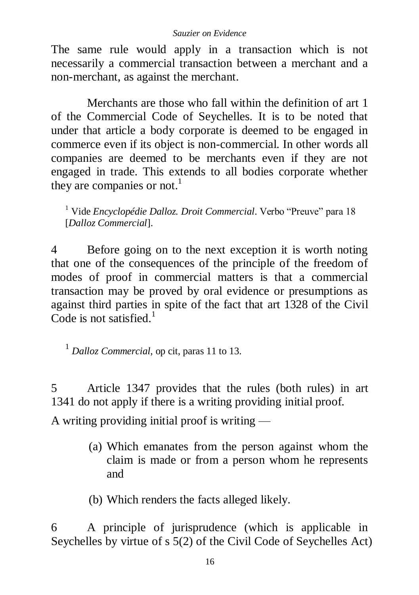#### *Sauzier on Evidence*

The same rule would apply in a transaction which is not necessarily a commercial transaction between a merchant and a non-merchant, as against the merchant.

Merchants are those who fall within the definition of art 1 of the Commercial Code of Seychelles. It is to be noted that under that article a body corporate is deemed to be engaged in commerce even if its object is non-commercial. In other words all companies are deemed to be merchants even if they are not engaged in trade. This extends to all bodies corporate whether they are companies or not.<sup>1</sup>

<sup>1</sup> Vide *Encyclopédie Dalloz. Droit Commercial*. Verbo "Preuve" para 18 [*Dalloz Commercial*].

4 Before going on to the next exception it is worth noting that one of the consequences of the principle of the freedom of modes of proof in commercial matters is that a commercial transaction may be proved by oral evidence or presumptions as against third parties in spite of the fact that art 1328 of the Civil Code is not satisfied.<sup>1</sup>

1 *Dalloz Commercial*, op cit, paras 11 to 13.

5 Article 1347 provides that the rules (both rules) in art 1341 do not apply if there is a writing providing initial proof.

A writing providing initial proof is writing —

(a) Which emanates from the person against whom the claim is made or from a person whom he represents and

(b) Which renders the facts alleged likely.

6 A principle of jurisprudence (which is applicable in Seychelles by virtue of s 5(2) of the Civil Code of Seychelles Act)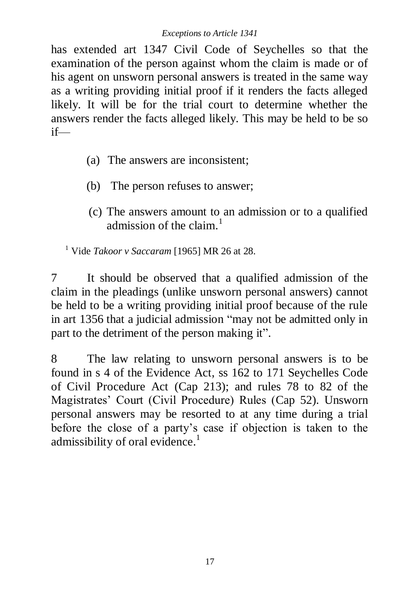has extended art 1347 Civil Code of Seychelles so that the examination of the person against whom the claim is made or of his agent on unsworn personal answers is treated in the same way as a writing providing initial proof if it renders the facts alleged likely. It will be for the trial court to determine whether the answers render the facts alleged likely. This may be held to be so if—

- (a) The answers are inconsistent;
- (b) The person refuses to answer;
- (c) The answers amount to an admission or to a qualified admission of the claim. 1

<sup>1</sup> Vide *Takoor v Saccaram* [1965] MR 26 at 28.

7 It should be observed that a qualified admission of the claim in the pleadings (unlike unsworn personal answers) cannot be held to be a writing providing initial proof because of the rule in art 1356 that a judicial admission "may not be admitted only in part to the detriment of the person making it".

8 The law relating to unsworn personal answers is to be found in s 4 of the Evidence Act, ss 162 to 171 Seychelles Code of Civil Procedure Act (Cap 213); and rules 78 to 82 of the Magistrates' Court (Civil Procedure) Rules (Cap 52). Unsworn personal answers may be resorted to at any time during a trial before the close of a party's case if objection is taken to the admissibility of oral evidence.<sup>1</sup>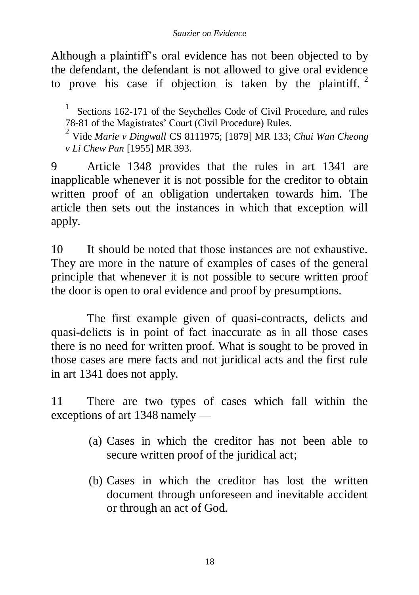Although a plaintiff's oral evidence has not been objected to by the defendant, the defendant is not allowed to give oral evidence to prove his case if objection is taken by the plaintiff.  $2$ 

<sup>1</sup> Sections 162-171 of the Seychelles Code of Civil Procedure, and rules 78-81 of the Magistrates' Court (Civil Procedure) Rules.

2 Vide *Marie v Dingwall* CS 8111975; [1879] MR 133; *Chui Wan Cheong v Li Chew Pan* [1955] MR 393.

9 Article 1348 provides that the rules in art 1341 are inapplicable whenever it is not possible for the creditor to obtain written proof of an obligation undertaken towards him. The article then sets out the instances in which that exception will apply.

10 It should be noted that those instances are not exhaustive. They are more in the nature of examples of cases of the general principle that whenever it is not possible to secure written proof the door is open to oral evidence and proof by presumptions.

The first example given of quasi-contracts, delicts and quasi-delicts is in point of fact inaccurate as in all those cases there is no need for written proof. What is sought to be proved in those cases are mere facts and not juridical acts and the first rule in art 1341 does not apply.

11 There are two types of cases which fall within the exceptions of art 1348 namely —

- (a) Cases in which the creditor has not been able to secure written proof of the juridical act;
- (b) Cases in which the creditor has lost the written document through unforeseen and inevitable accident or through an act of God.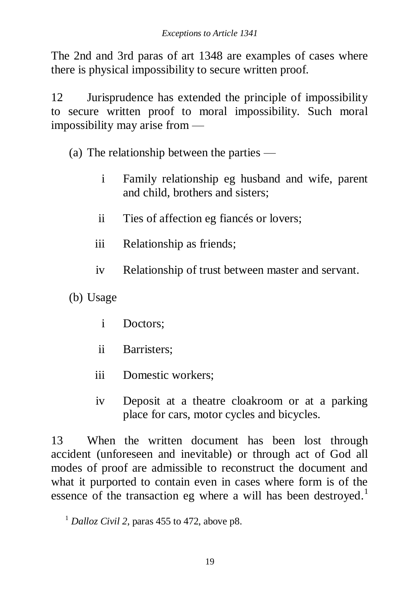The 2nd and 3rd paras of art 1348 are examples of cases where there is physical impossibility to secure written proof.

12 Jurisprudence has extended the principle of impossibility to secure written proof to moral impossibility. Such moral impossibility may arise from —

(a) The relationship between the parties —

- i Family relationship eg husband and wife, parent and child, brothers and sisters;
- ii Ties of affection eg fiancés or lovers;
- iii Relationship as friends;
- iv Relationship of trust between master and servant.
- (b) Usage
	- i Doctors;
	- ii Barristers;
	- iii Domestic workers;
	- iv Deposit at a theatre cloakroom or at a parking place for cars, motor cycles and bicycles.

13 When the written document has been lost through accident (unforeseen and inevitable) or through act of God all modes of proof are admissible to reconstruct the document and what it purported to contain even in cases where form is of the essence of the transaction eg where a will has been destroyed.<sup>1</sup>

 $<sup>1</sup>$  *Dalloz Civil 2*, paras 455 to 472, above p8.</sup>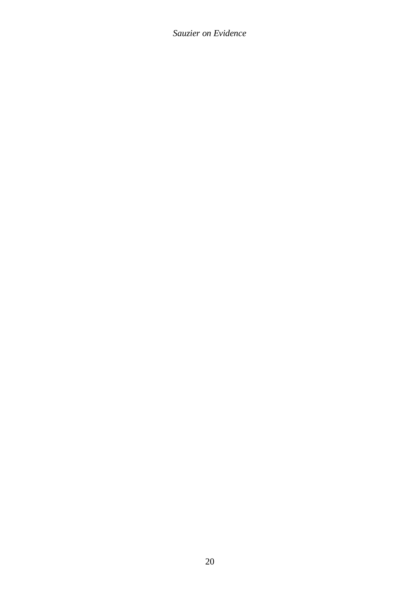*Sauzier on Evidence*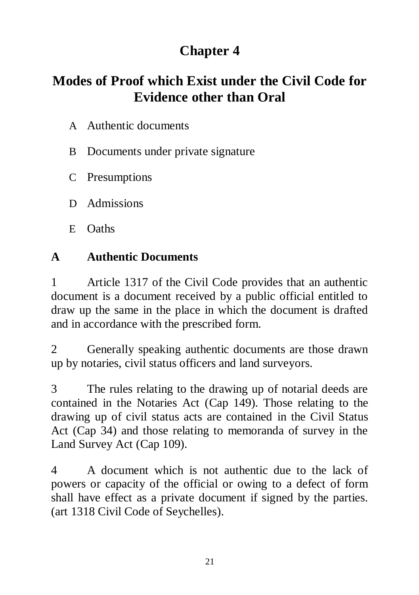# **Chapter 4**

# **Modes of Proof which Exist under the Civil Code for Evidence other than Oral**

- A Authentic documents
- B Documents under private signature
- C Presumptions
- D Admissions
- E Oaths

# **A Authentic Documents**

1 Article 1317 of the Civil Code provides that an authentic document is a document received by a public official entitled to draw up the same in the place in which the document is drafted and in accordance with the prescribed form.

2 Generally speaking authentic documents are those drawn up by notaries, civil status officers and land surveyors.

3 The rules relating to the drawing up of notarial deeds are contained in the Notaries Act (Cap 149). Those relating to the drawing up of civil status acts are contained in the Civil Status Act (Cap 34) and those relating to memoranda of survey in the Land Survey Act (Cap 109).

4 A document which is not authentic due to the lack of powers or capacity of the official or owing to a defect of form shall have effect as a private document if signed by the parties. (art 1318 Civil Code of Seychelles).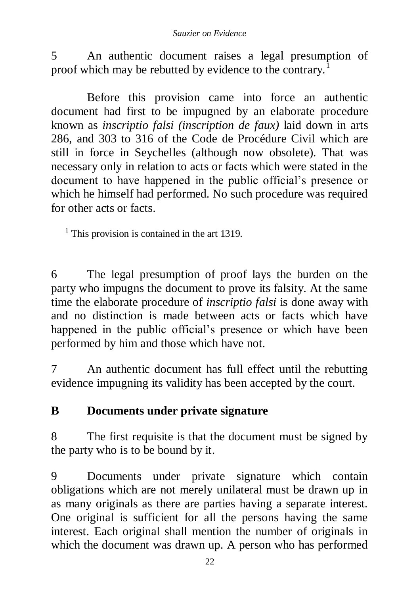5 An authentic document raises a legal presumption of proof which may be rebutted by evidence to the contrary.

Before this provision came into force an authentic document had first to be impugned by an elaborate procedure known as *inscriptio falsi (inscription de faux)* laid down in arts 286, and 303 to 316 of the Code de Procédure Civil which are still in force in Seychelles (although now obsolete). That was necessary only in relation to acts or facts which were stated in the document to have happened in the public official's presence or which he himself had performed. No such procedure was required for other acts or facts.

 $<sup>1</sup>$  This provision is contained in the art 1319.</sup>

6 The legal presumption of proof lays the burden on the party who impugns the document to prove its falsity. At the same time the elaborate procedure of *inscriptio falsi* is done away with and no distinction is made between acts or facts which have happened in the public official's presence or which have been performed by him and those which have not.

7 An authentic document has full effect until the rebutting evidence impugning its validity has been accepted by the court.

### **B Documents under private signature**

8 The first requisite is that the document must be signed by the party who is to be bound by it.

9 Documents under private signature which contain obligations which are not merely unilateral must be drawn up in as many originals as there are parties having a separate interest. One original is sufficient for all the persons having the same interest. Each original shall mention the number of originals in which the document was drawn up. A person who has performed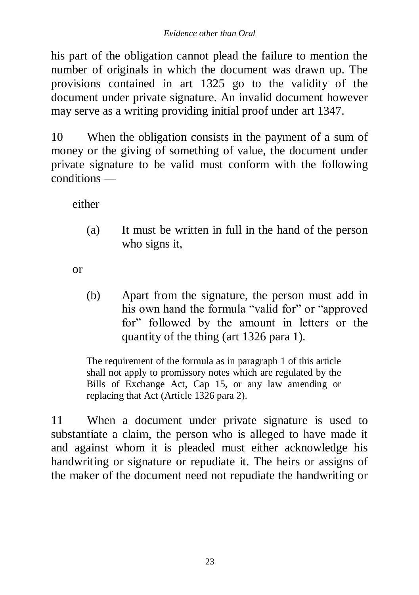his part of the obligation cannot plead the failure to mention the number of originals in which the document was drawn up. The provisions contained in art 1325 go to the validity of the document under private signature. An invalid document however may serve as a writing providing initial proof under art 1347.

10 When the obligation consists in the payment of a sum of money or the giving of something of value, the document under private signature to be valid must conform with the following conditions —

either

(a) It must be written in full in the hand of the person who signs it.

or

(b) Apart from the signature, the person must add in his own hand the formula "valid for" or "approved for" followed by the amount in letters or the quantity of the thing (art 1326 para 1).

The requirement of the formula as in paragraph 1 of this article shall not apply to promissory notes which are regulated by the Bills of Exchange Act, Cap 15, or any law amending or replacing that Act (Article 1326 para 2).

11 When a document under private signature is used to substantiate a claim, the person who is alleged to have made it and against whom it is pleaded must either acknowledge his handwriting or signature or repudiate it. The heirs or assigns of the maker of the document need not repudiate the handwriting or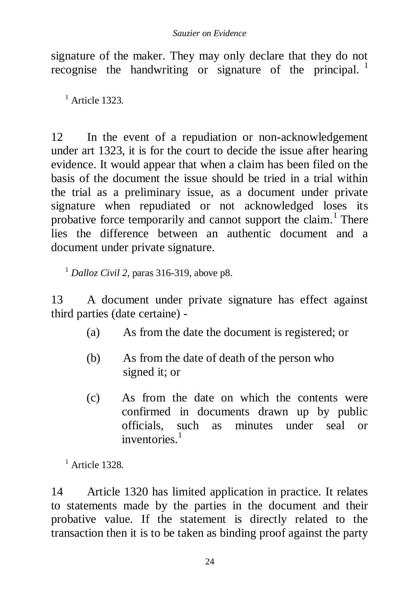#### *Sauzier on Evidence*

signature of the maker. They may only declare that they do not recognise the handwriting or signature of the principal.<sup>1</sup>

 $<sup>1</sup>$  Article 1323.</sup>

12 In the event of a repudiation or non-acknowledgement under art 1323, it is for the court to decide the issue after hearing evidence. It would appear that when a claim has been filed on the basis of the document the issue should be tried in a trial within the trial as a preliminary issue, as a document under private signature when repudiated or not acknowledged loses its probative force temporarily and cannot support the claim.<sup>1</sup> There lies the difference between an authentic document and a document under private signature.

<sup>1</sup> *Dalloz Civil 2*, paras 316-319, above p8.

13 A document under private signature has effect against third parties (date certaine) -

- (a) As from the date the document is registered; or
- (b) As from the date of death of the person who signed it; or
- (c) As from the date on which the contents were confirmed in documents drawn up by public officials, such as minutes under seal or inventories. 1

 $<sup>1</sup>$  Article 1328.</sup>

14 Article 1320 has limited application in practice. It relates to statements made by the parties in the document and their probative value. If the statement is directly related to the transaction then it is to be taken as binding proof against the party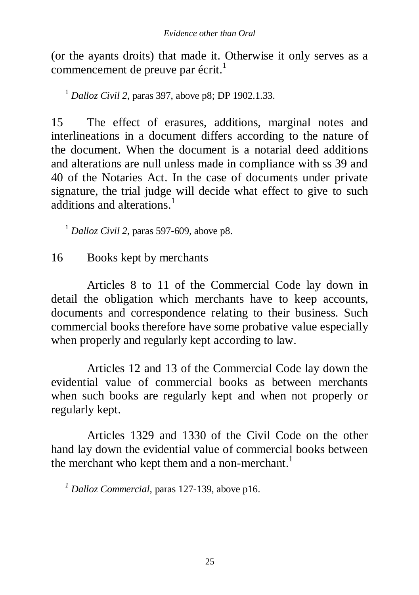(or the ayants droits) that made it. Otherwise it only serves as a commencement de preuve par écrit.<sup>1</sup>

<sup>1</sup> *Dalloz Civil 2*, paras 397, above p8; DP 1902.1.33.

15 The effect of erasures, additions, marginal notes and interlineations in a document differs according to the nature of the document. When the document is a notarial deed additions and alterations are null unless made in compliance with ss 39 and 40 of the Notaries Act. In the case of documents under private signature, the trial judge will decide what effect to give to such additions and alterations.<sup>1</sup>

<sup>1</sup> *Dalloz Civil 2*, paras 597-609, above p8.

### 16 Books kept by merchants

Articles 8 to 11 of the Commercial Code lay down in detail the obligation which merchants have to keep accounts, documents and correspondence relating to their business. Such commercial books therefore have some probative value especially when properly and regularly kept according to law.

Articles 12 and 13 of the Commercial Code lay down the evidential value of commercial books as between merchants when such books are regularly kept and when not properly or regularly kept.

Articles 1329 and 1330 of the Civil Code on the other hand lay down the evidential value of commercial books between the merchant who kept them and a non-merchant.<sup>1</sup>

*<sup>1</sup> Dalloz Commercial*, paras 127-139, above p16.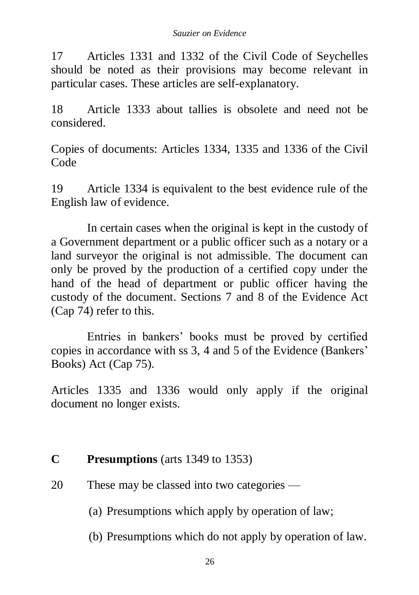17 Articles 1331 and 1332 of the Civil Code of Seychelles should be noted as their provisions may become relevant in particular cases. These articles are self-explanatory.

18 Article 1333 about tallies is obsolete and need not be considered.

Copies of documents: Articles 1334, 1335 and 1336 of the Civil Code

19 Article 1334 is equivalent to the best evidence rule of the English law of evidence.

In certain cases when the original is kept in the custody of a Government department or a public officer such as a notary or a land surveyor the original is not admissible. The document can only be proved by the production of a certified copy under the hand of the head of department or public officer having the custody of the document. Sections 7 and 8 of the Evidence Act (Cap 74) refer to this.

Entries in bankers' books must be proved by certified copies in accordance with ss 3, 4 and 5 of the Evidence (Bankers' Books) Act (Cap 75).

Articles 1335 and 1336 would only apply if the original document no longer exists.

### **C Presumptions** (arts 1349 to 1353)

20 These may be classed into two categories —

(a) Presumptions which apply by operation of law;

(b) Presumptions which do not apply by operation of law.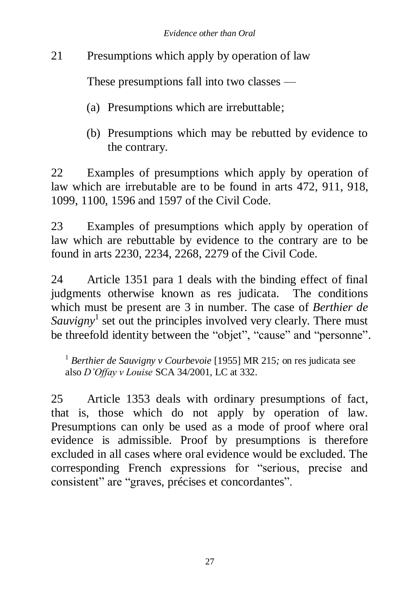21 Presumptions which apply by operation of law

These presumptions fall into two classes —

- (a) Presumptions which are irrebuttable;
- (b) Presumptions which may be rebutted by evidence to the contrary.

22 Examples of presumptions which apply by operation of law which are irrebutable are to be found in arts 472, 911, 918, 1099, 1100, 1596 and 1597 of the Civil Code.

23 Examples of presumptions which apply by operation of law which are rebuttable by evidence to the contrary are to be found in arts 2230, 2234, 2268, 2279 of the Civil Code.

24 Article 1351 para 1 deals with the binding effect of final judgments otherwise known as res judicata. The conditions which must be present are 3 in number. The case of *Berthier de*  Sauvigny<sup>1</sup> set out the principles involved very clearly. There must be threefold identity between the "objet", "cause" and "personne".

<sup>1</sup> *Berthier de Sauvigny v Courbevoie* [1955] MR 215*;* on res judicata see also *D'Offay v Louise* SCA 34/2001, LC at 332.

25 Article 1353 deals with ordinary presumptions of fact, that is, those which do not apply by operation of law. Presumptions can only be used as a mode of proof where oral evidence is admissible. Proof by presumptions is therefore excluded in all cases where oral evidence would be excluded. The corresponding French expressions for "serious, precise and consistent" are "graves, précises et concordantes".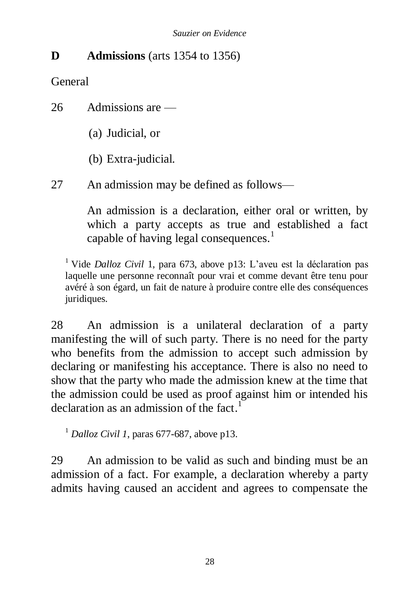# **D Admissions** (arts 1354 to 1356)

General

26 Admissions are —

(a) Judicial, or

(b) Extra-judicial.

27 An admission may be defined as follows—

An admission is a declaration, either oral or written, by which a party accepts as true and established a fact capable of having legal consequences.<sup>1</sup>

<sup>1</sup> Vide *Dalloz Civil* 1, para 673, above p13: L'aveu est la déclaration pas laquelle une personne reconnaît pour vrai et comme devant être tenu pour avéré à son égard, un fait de nature à produire contre elle des conséquences juridiques.

28 An admission is a unilateral declaration of a party manifesting the will of such party. There is no need for the party who benefits from the admission to accept such admission by declaring or manifesting his acceptance. There is also no need to show that the party who made the admission knew at the time that the admission could be used as proof against him or intended his declaration as an admission of the fact.<sup>1</sup>

 $^{1}$  *Dalloz Civil 1*, paras 677-687, above p13.

29 An admission to be valid as such and binding must be an admission of a fact. For example, a declaration whereby a party admits having caused an accident and agrees to compensate the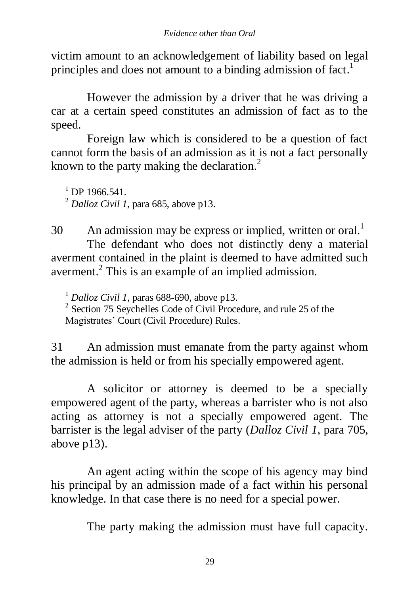victim amount to an acknowledgement of liability based on legal principles and does not amount to a binding admission of fact.<sup>1</sup>

However the admission by a driver that he was driving a car at a certain speed constitutes an admission of fact as to the speed.

Foreign law which is considered to be a question of fact cannot form the basis of an admission as it is not a fact personally known to the party making the declaration.<sup>2</sup>

 $1$  DP 1966.541. <sup>2</sup> *Dalloz Civil 1*, para 685, above p13.

30 An admission may be express or implied, written or oral.<sup>1</sup> The defendant who does not distinctly deny a material averment contained in the plaint is deemed to have admitted such averment. 2 This is an example of an implied admission.

<sup>1</sup> *Dalloz Civil 1*, paras 688-690, above p13. <sup>2</sup> Section 75 Seychelles Code of Civil Procedure, and rule 25 of the Magistrates' Court (Civil Procedure) Rules.

31 An admission must emanate from the party against whom the admission is held or from his specially empowered agent.

A solicitor or attorney is deemed to be a specially empowered agent of the party, whereas a barrister who is not also acting as attorney is not a specially empowered agent. The barrister is the legal adviser of the party (*Dalloz Civil 1*, para 705, above p13).

An agent acting within the scope of his agency may bind his principal by an admission made of a fact within his personal knowledge. In that case there is no need for a special power.

The party making the admission must have full capacity.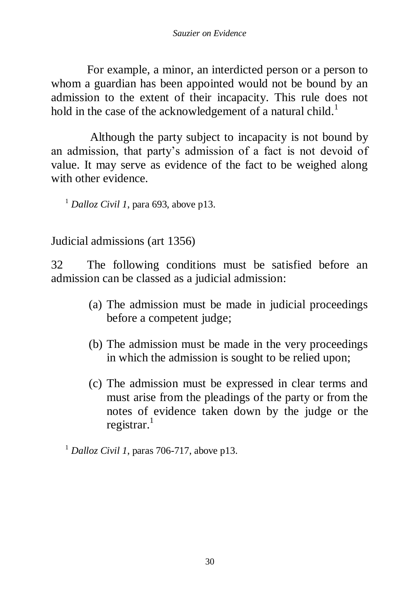For example, a minor, an interdicted person or a person to whom a guardian has been appointed would not be bound by an admission to the extent of their incapacity. This rule does not hold in the case of the acknowledgement of a natural child.<sup>1</sup>

Although the party subject to incapacity is not bound by an admission, that party's admission of a fact is not devoid of value. It may serve as evidence of the fact to be weighed along with other evidence.

 $<sup>1</sup>$  *Dalloz Civil 1*, para 693, above p13.</sup>

Judicial admissions (art 1356)

32 The following conditions must be satisfied before an admission can be classed as a judicial admission:

- (a) The admission must be made in judicial proceedings before a competent judge;
- (b) The admission must be made in the very proceedings in which the admission is sought to be relied upon;
- (c) The admission must be expressed in clear terms and must arise from the pleadings of the party or from the notes of evidence taken down by the judge or the registrar.<sup>1</sup>

<sup>1</sup> *Dalloz Civil 1*, paras 706-717, above p13.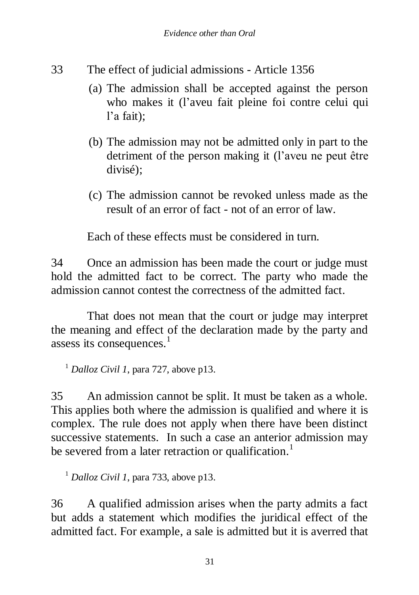- 33 The effect of judicial admissions Article 1356
	- (a) The admission shall be accepted against the person who makes it (l'aveu fait pleine foi contre celui qui l'a fait);
	- (b) The admission may not be admitted only in part to the detriment of the person making it (l'aveu ne peut être divisé);
	- (c) The admission cannot be revoked unless made as the result of an error of fact - not of an error of law.

Each of these effects must be considered in turn.

34 Once an admission has been made the court or judge must hold the admitted fact to be correct. The party who made the admission cannot contest the correctness of the admitted fact.

That does not mean that the court or judge may interpret the meaning and effect of the declaration made by the party and assess its consequences.<sup>1</sup>

 $<sup>1</sup>$  *Dalloz Civil 1*, para 727, above p13.</sup>

35 An admission cannot be split. It must be taken as a whole. This applies both where the admission is qualified and where it is complex. The rule does not apply when there have been distinct successive statements. In such a case an anterior admission may be severed from a later retraction or qualification.<sup>1</sup>

 $<sup>1</sup>$  *Dalloz Civil 1*, para 733, above p13.</sup>

36 A qualified admission arises when the party admits a fact but adds a statement which modifies the juridical effect of the admitted fact. For example, a sale is admitted but it is averred that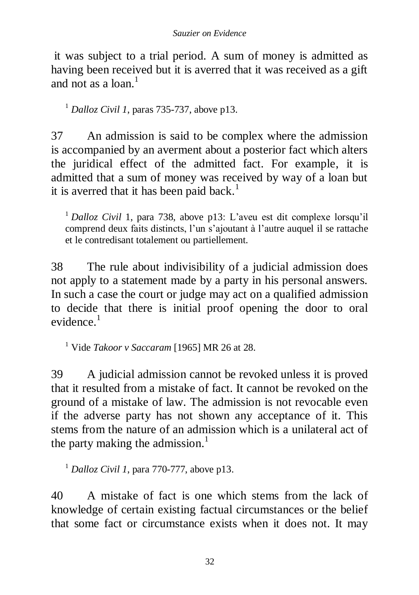it was subject to a trial period. A sum of money is admitted as having been received but it is averred that it was received as a gift and not as a loan. 1

<sup>1</sup> *Dalloz Civil 1*, paras 735-737, above p13.

37 An admission is said to be complex where the admission is accompanied by an averment about a posterior fact which alters the juridical effect of the admitted fact. For example, it is admitted that a sum of money was received by way of a loan but it is averred that it has been paid back.<sup>1</sup>

<sup>1</sup> *Dalloz Civil* 1, para 738, above p13: L'aveu est dit complexe lorsqu'il comprend deux faits distincts, l'un s'ajoutant à l'autre auquel il se rattache et le contredisant totalement ou partiellement.

38 The rule about indivisibility of a judicial admission does not apply to a statement made by a party in his personal answers. In such a case the court or judge may act on a qualified admission to decide that there is initial proof opening the door to oral evidence. 1

<sup>1</sup> Vide *Takoor v Saccaram* [1965] MR 26 at 28.

39 A judicial admission cannot be revoked unless it is proved that it resulted from a mistake of fact. It cannot be revoked on the ground of a mistake of law. The admission is not revocable even if the adverse party has not shown any acceptance of it. This stems from the nature of an admission which is a unilateral act of the party making the admission.<sup>1</sup>

<sup>1</sup> *Dalloz Civil 1*, para 770-777, above p13.

40 A mistake of fact is one which stems from the lack of knowledge of certain existing factual circumstances or the belief that some fact or circumstance exists when it does not. It may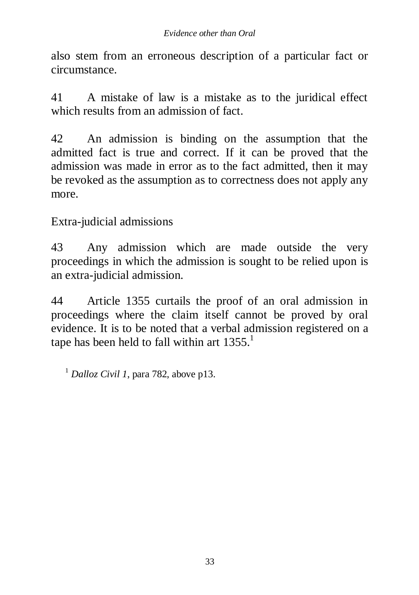also stem from an erroneous description of a particular fact or circumstance.

41 A mistake of law is a mistake as to the juridical effect which results from an admission of fact.

42 An admission is binding on the assumption that the admitted fact is true and correct. If it can be proved that the admission was made in error as to the fact admitted, then it may be revoked as the assumption as to correctness does not apply any more.

Extra-judicial admissions

43 Any admission which are made outside the very proceedings in which the admission is sought to be relied upon is an extra-judicial admission.

44 Article 1355 curtails the proof of an oral admission in proceedings where the claim itself cannot be proved by oral evidence. It is to be noted that a verbal admission registered on a tape has been held to fall within art 1355.<sup>1</sup>

 $<sup>1</sup>$  *Dalloz Civil 1*, para 782, above p13.</sup>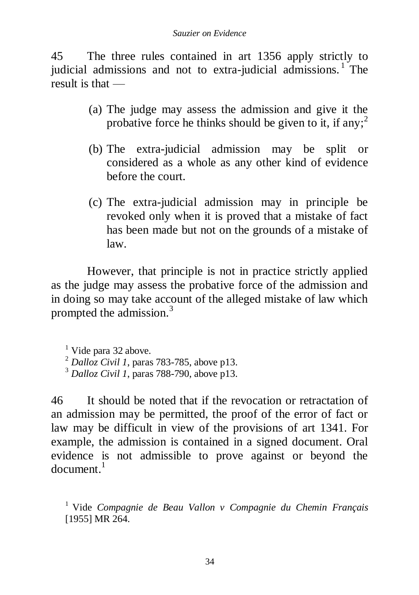#### *Sauzier on Evidence*

45 The three rules contained in art 1356 apply strictly to judicial admissions and not to extra-judicial admissions.<sup>1</sup> The result is that —

- (a) The judge may assess the admission and give it the probative force he thinks should be given to it, if any;<sup>2</sup>
- (b) The extra-judicial admission may be split or considered as a whole as any other kind of evidence before the court.
- (c) The extra-judicial admission may in principle be revoked only when it is proved that a mistake of fact has been made but not on the grounds of a mistake of law.

However, that principle is not in practice strictly applied as the judge may assess the probative force of the admission and in doing so may take account of the alleged mistake of law which prompted the admission. 3

 $<sup>1</sup>$  Vide para 32 above.</sup> <sup>2</sup> *Dalloz Civil 1*, paras 783-785, above p13. <sup>3</sup> *Dalloz Civil 1*, paras 788-790, above p13.

46 It should be noted that if the revocation or retractation of an admission may be permitted, the proof of the error of fact or law may be difficult in view of the provisions of art 1341. For example, the admission is contained in a signed document. Oral evidence is not admissible to prove against or beyond the document. 1

<sup>1</sup> Vide *Compagnie de Beau Vallon v Compagnie du Chemin Français* [1955] MR 264.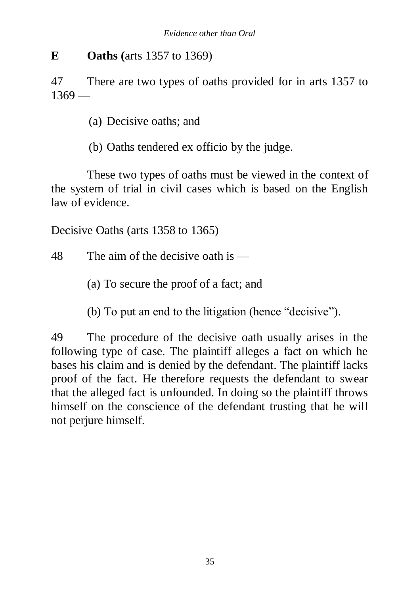**E Oaths (**arts 1357 to 1369)

47 There are two types of oaths provided for in arts 1357 to  $1369 -$ 

(a) Decisive oaths; and

(b) Oaths tendered ex officio by the judge.

These two types of oaths must be viewed in the context of the system of trial in civil cases which is based on the English law of evidence.

Decisive Oaths (arts 1358 to 1365)

48 The aim of the decisive oath is —

(a) To secure the proof of a fact; and

(b) To put an end to the litigation (hence "decisive").

49 The procedure of the decisive oath usually arises in the following type of case. The plaintiff alleges a fact on which he bases his claim and is denied by the defendant. The plaintiff lacks proof of the fact. He therefore requests the defendant to swear that the alleged fact is unfounded. In doing so the plaintiff throws himself on the conscience of the defendant trusting that he will not perjure himself.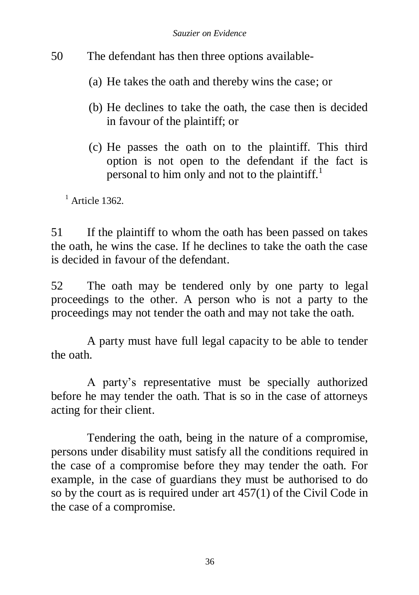- 50 The defendant has then three options available-
	- (a) He takes the oath and thereby wins the case; or
	- (b) He declines to take the oath, the case then is decided in favour of the plaintiff; or
	- (c) He passes the oath on to the plaintiff. This third option is not open to the defendant if the fact is personal to him only and not to the plaintiff.<sup>1</sup>

 $<sup>1</sup>$  Article 1362.</sup>

51 If the plaintiff to whom the oath has been passed on takes the oath, he wins the case. If he declines to take the oath the case is decided in favour of the defendant.

52 The oath may be tendered only by one party to legal proceedings to the other. A person who is not a party to the proceedings may not tender the oath and may not take the oath.

A party must have full legal capacity to be able to tender the oath.

A party's representative must be specially authorized before he may tender the oath. That is so in the case of attorneys acting for their client.

Tendering the oath, being in the nature of a compromise, persons under disability must satisfy all the conditions required in the case of a compromise before they may tender the oath. For example, in the case of guardians they must be authorised to do so by the court as is required under art 457(1) of the Civil Code in the case of a compromise.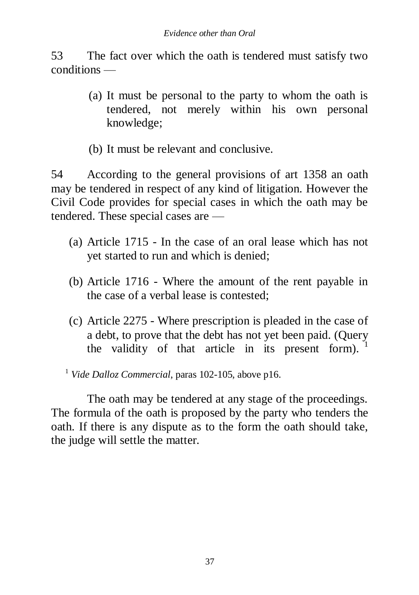53 The fact over which the oath is tendered must satisfy two conditions —

- (a) It must be personal to the party to whom the oath is tendered, not merely within his own personal knowledge;
- (b) It must be relevant and conclusive.

54 According to the general provisions of art 1358 an oath may be tendered in respect of any kind of litigation. However the Civil Code provides for special cases in which the oath may be tendered. These special cases are —

- (a) Article 1715 In the case of an oral lease which has not yet started to run and which is denied;
- (b) Article 1716 Where the amount of the rent payable in the case of a verbal lease is contested;
- (c) Article 2275 Where prescription is pleaded in the case of a debt, to prove that the debt has not yet been paid. (Query the validity of that article in its present form). 1

<sup>1</sup> *Vide Dalloz Commercial*, paras 102-105, above p16.

The oath may be tendered at any stage of the proceedings. The formula of the oath is proposed by the party who tenders the oath. If there is any dispute as to the form the oath should take, the judge will settle the matter.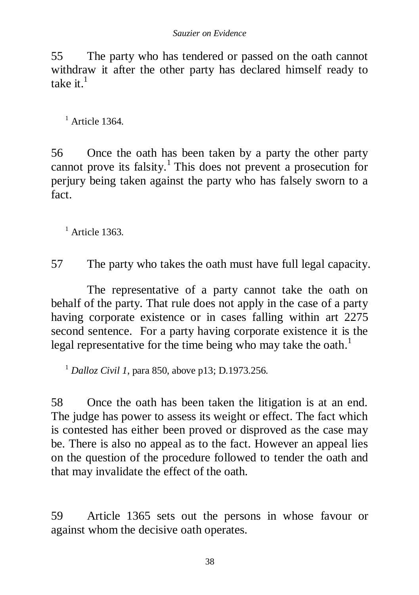#### *Sauzier on Evidence*

55 The party who has tendered or passed on the oath cannot withdraw it after the other party has declared himself ready to take it.<sup>1</sup>

 $<sup>1</sup>$  Article 1364.</sup>

56 Once the oath has been taken by a party the other party cannot prove its falsity. 1 This does not prevent a prosecution for perjury being taken against the party who has falsely sworn to a fact.

 $<sup>1</sup>$  Article 1363.</sup>

57 The party who takes the oath must have full legal capacity.

The representative of a party cannot take the oath on behalf of the party. That rule does not apply in the case of a party having corporate existence or in cases falling within art 2275 second sentence. For a party having corporate existence it is the legal representative for the time being who may take the oath.<sup>1</sup>

<sup>1</sup> *Dalloz Civil 1*, para 850, above p13; D.1973.256.

58 Once the oath has been taken the litigation is at an end. The judge has power to assess its weight or effect. The fact which is contested has either been proved or disproved as the case may be. There is also no appeal as to the fact. However an appeal lies on the question of the procedure followed to tender the oath and that may invalidate the effect of the oath.

59 Article 1365 sets out the persons in whose favour or against whom the decisive oath operates.

38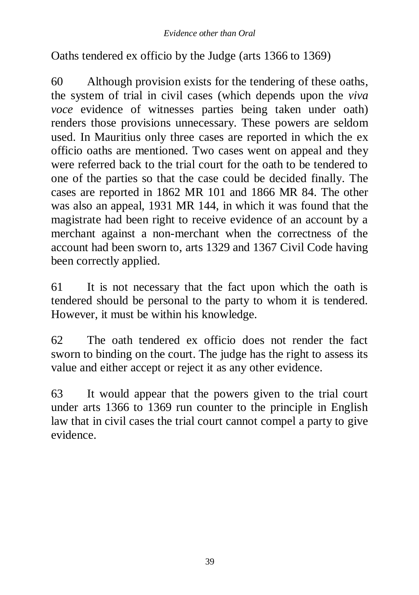Oaths tendered ex officio by the Judge (arts 1366 to 1369)

60 Although provision exists for the tendering of these oaths, the system of trial in civil cases (which depends upon the *viva voce* evidence of witnesses parties being taken under oath) renders those provisions unnecessary. These powers are seldom used. In Mauritius only three cases are reported in which the ex officio oaths are mentioned. Two cases went on appeal and they were referred back to the trial court for the oath to be tendered to one of the parties so that the case could be decided finally. The cases are reported in 1862 MR 101 and 1866 MR 84. The other was also an appeal, 1931 MR 144, in which it was found that the magistrate had been right to receive evidence of an account by a merchant against a non-merchant when the correctness of the account had been sworn to, arts 1329 and 1367 Civil Code having been correctly applied.

61 It is not necessary that the fact upon which the oath is tendered should be personal to the party to whom it is tendered. However, it must be within his knowledge.

62 The oath tendered ex officio does not render the fact sworn to binding on the court. The judge has the right to assess its value and either accept or reject it as any other evidence.

63 It would appear that the powers given to the trial court under arts 1366 to 1369 run counter to the principle in English law that in civil cases the trial court cannot compel a party to give evidence.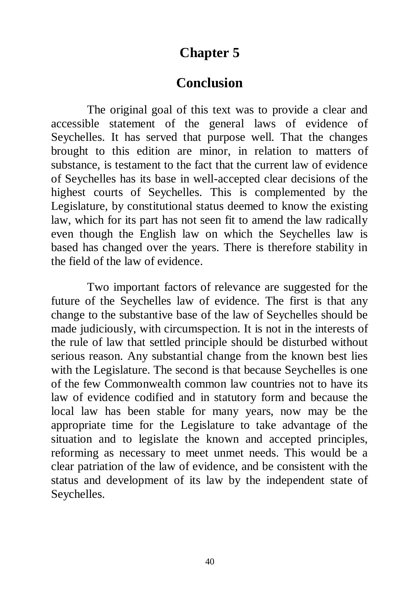# **Chapter 5**

# **Conclusion**

The original goal of this text was to provide a clear and accessible statement of the general laws of evidence of Seychelles. It has served that purpose well. That the changes brought to this edition are minor, in relation to matters of substance, is testament to the fact that the current law of evidence of Seychelles has its base in well-accepted clear decisions of the highest courts of Seychelles. This is complemented by the Legislature, by constitutional status deemed to know the existing law, which for its part has not seen fit to amend the law radically even though the English law on which the Seychelles law is based has changed over the years. There is therefore stability in the field of the law of evidence.

Two important factors of relevance are suggested for the future of the Seychelles law of evidence. The first is that any change to the substantive base of the law of Seychelles should be made judiciously, with circumspection. It is not in the interests of the rule of law that settled principle should be disturbed without serious reason. Any substantial change from the known best lies with the Legislature. The second is that because Seychelles is one of the few Commonwealth common law countries not to have its law of evidence codified and in statutory form and because the local law has been stable for many years, now may be the appropriate time for the Legislature to take advantage of the situation and to legislate the known and accepted principles, reforming as necessary to meet unmet needs. This would be a clear patriation of the law of evidence, and be consistent with the status and development of its law by the independent state of Seychelles.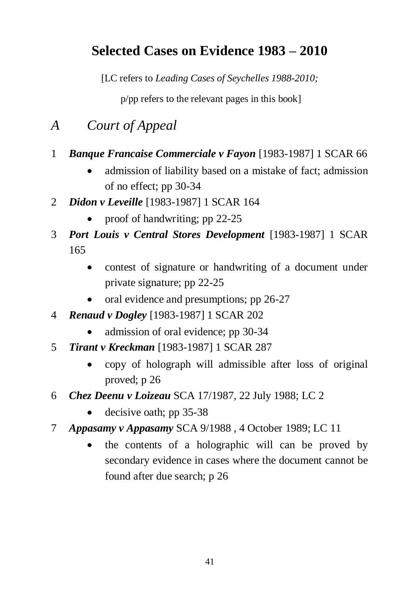# **Selected Cases on Evidence 1983 – 2010**

[LC refers to *Leading Cases of Seychelles 1988-2010;*

p/pp refers to the relevant pages in this book]

# *A Court of Appeal*

- 1 *Banque Francaise Commerciale v Fayon* [1983-1987] 1 SCAR 66
	- admission of liability based on a mistake of fact; admission of no effect; pp 30-34
- 2 *Didon v Leveille* [1983-1987] 1 SCAR 164
	- proof of handwriting; pp 22-25
- 3 *Port Louis v Central Stores Development* [1983-1987] 1 SCAR 165
	- contest of signature or handwriting of a document under private signature; pp 22-25
	- oral evidence and presumptions; pp 26-27
- 4 *Renaud v Dogley* [1983-1987] 1 SCAR 202
	- admission of oral evidence; pp 30-34
- 5 *Tirant v Kreckman* [1983-1987] 1 SCAR 287
	- copy of holograph will admissible after loss of original proved; p 26
- 6 *Chez Deenu v Loizeau* SCA 17/1987, 22 July 1988; LC 2
	- $\bullet$  decisive oath; pp 35-38
- 7 *Appasamy v Appasamy* SCA 9/1988 , 4 October 1989; LC 11
	- the contents of a holographic will can be proved by secondary evidence in cases where the document cannot be found after due search; p 26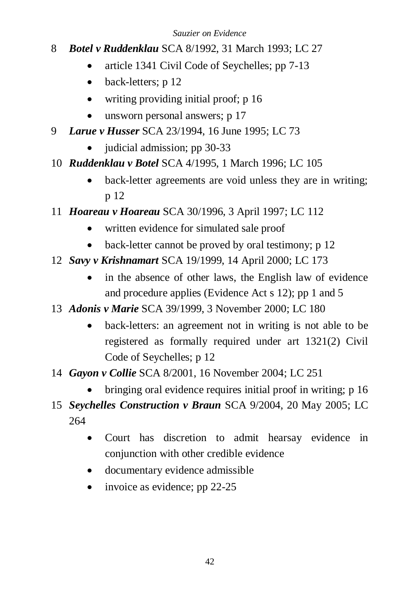- 8 *Botel v Ruddenklau* SCA 8/1992, 31 March 1993; LC 27
	- article 1341 Civil Code of Seychelles; pp 7-13
	- back-letters; p 12
	- writing providing initial proof; p 16
	- unsworn personal answers; p 17
- 9 *Larue v Husser* SCA 23/1994, 16 June 1995; LC 73
	- $\bullet$  judicial admission; pp 30-33
- 10 *Ruddenklau v Botel* SCA 4/1995, 1 March 1996; LC 105
	- back-letter agreements are void unless they are in writing; p 12
- 11 *Hoareau v Hoareau* SCA 30/1996, 3 April 1997; LC 112
	- written evidence for simulated sale proof
	- back-letter cannot be proved by oral testimony; p 12
- 12 *Savy v Krishnamart* SCA 19/1999, 14 April 2000; LC 173
	- in the absence of other laws, the English law of evidence and procedure applies (Evidence Act s 12); pp 1 and 5
- 13 *Adonis v Marie* SCA 39/1999, 3 November 2000; LC 180
	- back-letters: an agreement not in writing is not able to be registered as formally required under art 1321(2) Civil Code of Seychelles; p 12
- 14 *Gayon v Collie* SCA 8/2001, 16 November 2004; LC 251
	- bringing oral evidence requires initial proof in writing; p 16
- 15 *Seychelles Construction v Braun* SCA 9/2004, 20 May 2005; LC 264
	- Court has discretion to admit hearsay evidence in conjunction with other credible evidence
	- documentary evidence admissible
	- invoice as evidence; pp 22-25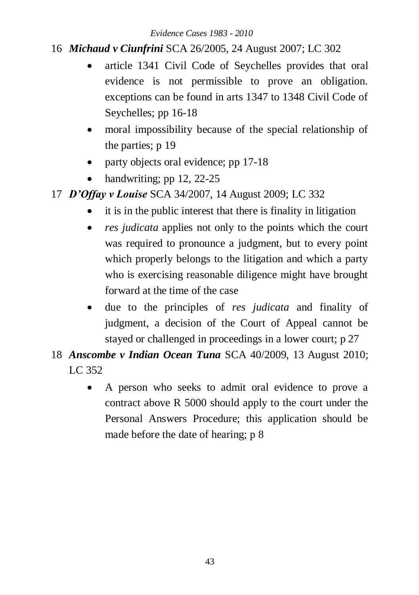- 16 *Michaud v Ciunfrini* SCA 26/2005, 24 August 2007; LC 302
	- article 1341 Civil Code of Seychelles provides that oral evidence is not permissible to prove an obligation. exceptions can be found in arts 1347 to 1348 Civil Code of Seychelles; pp 16-18
	- moral impossibility because of the special relationship of the parties; p 19
	- party objects oral evidence; pp 17-18
	- $\bullet$  handwriting; pp 12, 22-25
- 17 *D'Offay v Louise* SCA 34/2007, 14 August 2009; LC 332
	- it is in the public interest that there is finality in litigation
	- *res judicata* applies not only to the points which the court was required to pronounce a judgment, but to every point which properly belongs to the litigation and which a party who is exercising reasonable diligence might have brought forward at the time of the case
	- due to the principles of *res judicata* and finality of judgment, a decision of the Court of Appeal cannot be stayed or challenged in proceedings in a lower court; p 27
- 18 *Anscombe v Indian Ocean Tuna* SCA 40/2009, 13 August 2010; LC 352
	- A person who seeks to admit oral evidence to prove a contract above R 5000 should apply to the court under the Personal Answers Procedure; this application should be made before the date of hearing; p 8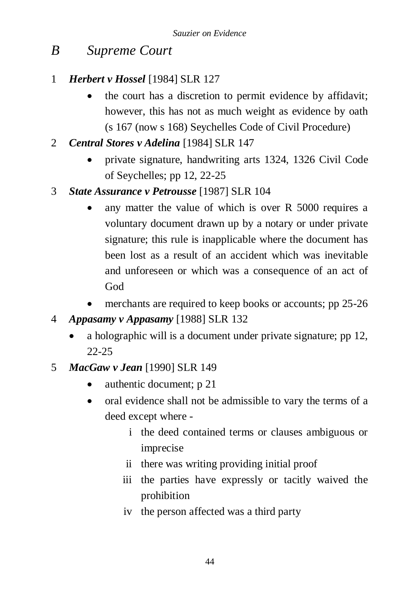### *B Supreme Court*

### 1 *Herbert v Hossel* [1984] SLR 127

- the court has a discretion to permit evidence by affidavit; however, this has not as much weight as evidence by oath (s 167 (now s 168) Seychelles Code of Civil Procedure)
- 2 *Central Stores v Adelina* [1984] SLR 147
	- private signature, handwriting arts 1324, 1326 Civil Code of Seychelles; pp 12, 22-25
- 3 *State Assurance v Petrousse* [1987] SLR 104
	- any matter the value of which is over R 5000 requires a voluntary document drawn up by a notary or under private signature; this rule is inapplicable where the document has been lost as a result of an accident which was inevitable and unforeseen or which was a consequence of an act of God
	- merchants are required to keep books or accounts; pp 25-26
- 4 *Appasamy v Appasamy* [1988] SLR 132
	- a holographic will is a document under private signature; pp 12, 22-25
- 5 *MacGaw v Jean* [1990] SLR 149
	- authentic document; p 21
	- oral evidence shall not be admissible to vary the terms of a deed except where
		- i the deed contained terms or clauses ambiguous or imprecise
		- ii there was writing providing initial proof
		- iii the parties have expressly or tacitly waived the prohibition
		- iv the person affected was a third party